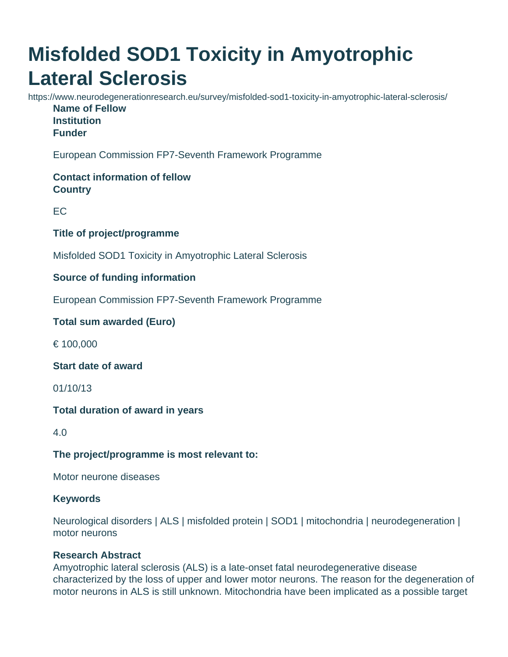# **Misfolded SOD1 Toxicity in Amyotrophic Lateral Sclerosis**

https://www.neurodegenerationresearch.eu/survey/misfolded-sod1-toxicity-in-amyotrophic-lateral-sclerosis/ **Name of Fellow Institution Funder**

European Commission FP7-Seventh Framework Programme

## **Contact information of fellow Country**

EC

#### **Title of project/programme**

Misfolded SOD1 Toxicity in Amyotrophic Lateral Sclerosis

## **Source of funding information**

European Commission FP7-Seventh Framework Programme

## **Total sum awarded (Euro)**

€ 100,000

#### **Start date of award**

01/10/13

#### **Total duration of award in years**

4.0

#### **The project/programme is most relevant to:**

Motor neurone diseases

#### **Keywords**

Neurological disorders | ALS | misfolded protein | SOD1 | mitochondria | neurodegeneration | motor neurons

#### **Research Abstract**

Amyotrophic lateral sclerosis (ALS) is a late-onset fatal neurodegenerative disease characterized by the loss of upper and lower motor neurons. The reason for the degeneration of motor neurons in ALS is still unknown. Mitochondria have been implicated as a possible target